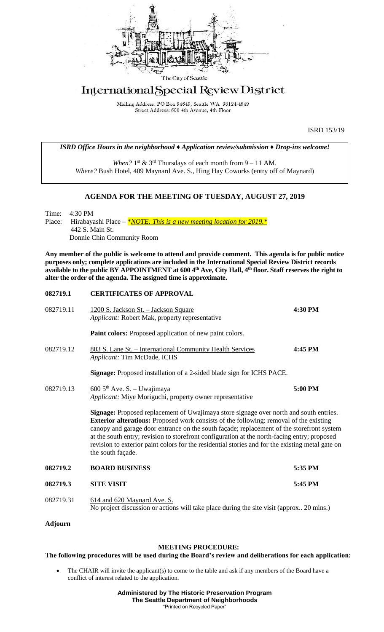

## International Special Review District

Mailing Address: PO Box 94649, Seattle WA 98124-4649 Street Address: 600 4th Avenue, 4th Floor

ISRD 153/19

*ISRD Office Hours in the neighborhood ♦ Application review/submission ♦ Drop-ins welcome!*

When?  $1<sup>st</sup>$  &  $3<sup>rd</sup>$  Thursdays of each month from  $9 - 11$  AM. *Where?* Bush Hotel, 409 Maynard Ave. S., Hing Hay Coworks (entry off of Maynard)

## **AGENDA FOR THE MEETING OF TUESDAY, AUGUST 27, 2019**

Time: 4:30 PM Place: Hirabayashi Place – *\*NOTE: This is a new meeting location for 2019.* \* 442 S. Main St. Donnie Chin Community Room

**Any member of the public is welcome to attend and provide comment. This agenda is for public notice purposes only; complete applications are included in the International Special Review District records available to the public BY APPOINTMENT at 600 4th Ave, City Hall, 4th floor. Staff reserves the right to alter the order of the agenda. The assigned time is approximate.** 

| 082719.1  | <b>CERTIFICATES OF APPROVAL</b>                                                                                                                                                                                                                                                                                                                                                                                                                                                                               |         |
|-----------|---------------------------------------------------------------------------------------------------------------------------------------------------------------------------------------------------------------------------------------------------------------------------------------------------------------------------------------------------------------------------------------------------------------------------------------------------------------------------------------------------------------|---------|
| 082719.11 | <u> 1200 S. Jackson St. – Jackson Square</u><br>Applicant: Robert Mak, property representative                                                                                                                                                                                                                                                                                                                                                                                                                | 4:30 PM |
|           | Paint colors: Proposed application of new paint colors.                                                                                                                                                                                                                                                                                                                                                                                                                                                       |         |
| 082719.12 | 803 S. Lane St. – International Community Health Services<br>Applicant: Tim McDade, ICHS                                                                                                                                                                                                                                                                                                                                                                                                                      | 4:45 PM |
|           | <b>Signage:</b> Proposed installation of a 2-sided blade sign for ICHS PACE.                                                                                                                                                                                                                                                                                                                                                                                                                                  |         |
| 082719.13 | $\underline{600\,5^{\text{th}}\text{Ave}}$ . S. – Uwajimaya<br>Applicant: Miye Moriguchi, property owner representative                                                                                                                                                                                                                                                                                                                                                                                       | 5:00 PM |
|           | Signage: Proposed replacement of Uwajimaya store signage over north and south entries.<br><b>Exterior alterations:</b> Proposed work consists of the following: removal of the existing<br>canopy and garage door entrance on the south façade; replacement of the storefront system<br>at the south entry; revision to storefront configuration at the north-facing entry; proposed<br>revision to exterior paint colors for the residential stories and for the existing metal gate on<br>the south façade. |         |
| 082719.2  | <b>BOARD BUSINESS</b>                                                                                                                                                                                                                                                                                                                                                                                                                                                                                         | 5:35 PM |
| 082719.3  | <b>SITE VISIT</b>                                                                                                                                                                                                                                                                                                                                                                                                                                                                                             | 5:45 PM |
| 082719.31 | 614 and 620 Maynard Ave. S.<br>No project discussion or actions will take place during the site visit (approx 20 mins.)                                                                                                                                                                                                                                                                                                                                                                                       |         |

**Adjourn**

## **MEETING PROCEDURE:**

## **The following procedures will be used during the Board's review and deliberations for each application:**

The CHAIR will invite the applicant(s) to come to the table and ask if any members of the Board have a conflict of interest related to the application.